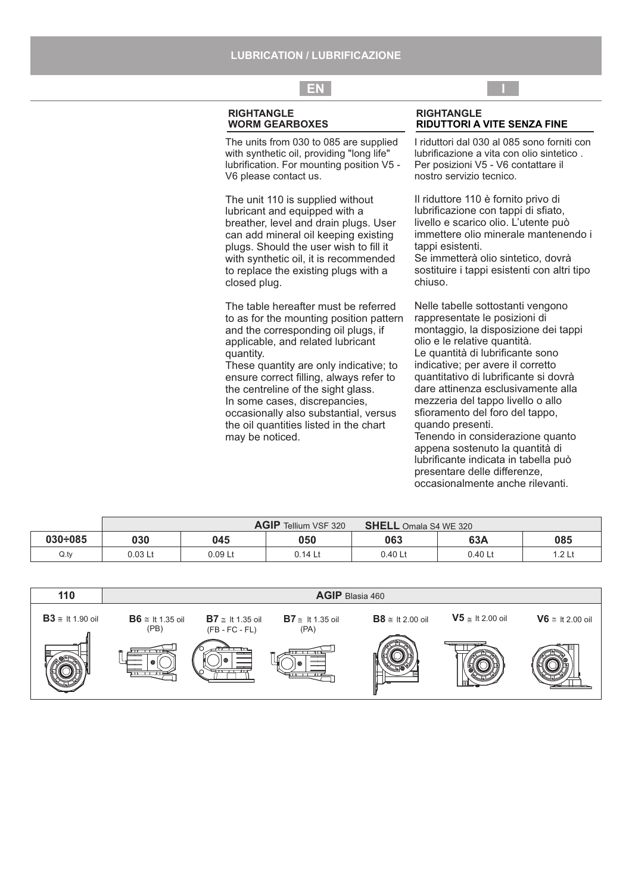# **EN I**

#### **RIGHTANGLE WORM GEARBOXES**

The units from 030 to 085 are supplied with synthetic oil, providing "long life" lubrification. For mounting position V5 - V6 please contact us.

The unit 110 is supplied without lubricant and equipped with a breather, level and drain plugs. User can add mineral oil keeping existing plugs. Should the user wish to fill it with synthetic oil, it is recommended to replace the existing plugs with a closed plug.

The table hereafter must be referred to as for the mounting position pattern and the corresponding oil plugs, if applicable, and related lubricant quantity.

These quantity are only indicative; to ensure correct filling, always refer to the centreline of the sight glass. In some cases, discrepancies, occasionally also substantial, versus the oil quantities listed in the chart may be noticed.

#### **RIGHTANGLE RIDUTTORI A VITE SENZA FINE**

I riduttori dal 030 al 085 sono forniti con lubrificazione a vita con olio sintetico . Per posizioni V5 - V6 contattare il nostro servizio tecnico.

Il riduttore 110 è fornito privo di lubrificazione con tappi di sfiato, livello e scarico olio. L'utente può immettere olio minerale mantenendo i tappi esistenti.

Se immetterà olio sintetico, dovrà sostituire i tappi esistenti con altri tipo chiuso.

Nelle tabelle sottostanti vengono rappresentate le posizioni di montaggio, la disposizione dei tappi olio e le relative quantità. Le quantità di lubrificante sono indicative; per avere il corretto quantitativo di lubrificante si dovrà dare attinenza esclusivamente alla mezzeria del tappo livello o allo sfioramento del foro del tappo, quando presenti.

Tenendo in considerazione quanto appena sostenuto la quantità di lubrificante indicata in tabella può presentare delle differenze, occasionalmente anche rilevanti.

|                |                    |         | <b>AGIP</b> Tellium VSF 320 | SHELL Omala S4 WE 320 |         |       |
|----------------|--------------------|---------|-----------------------------|-----------------------|---------|-------|
| $030 \div 085$ | 030                | 045     | 050                         | 063                   | 63A     | 085   |
| Q.py           | 0.03 <sub>Lt</sub> | 0.09 Lt | 0.14 Lt                     | 0.40 Lt               | 0.40 Lt | .2 Lt |

| 110                    |                                |                                                     |                                                          | AGIP Blasia 460        |                                  |                        |
|------------------------|--------------------------------|-----------------------------------------------------|----------------------------------------------------------|------------------------|----------------------------------|------------------------|
| $B3 \cong$ It 1.90 oil | $B6 \cong$ It 1.35 oil<br>(PB) | $\mathbf{B7} \cong$ It 1.35 oil<br>$(FB - FC - FL)$ | $\mathbf{B7} \cong \mathsf{It} 1.35 \text{ oil}$<br>(PA) | $B8 \cong$ It 2.00 oil | $\sqrt{5}$ $\approx$ 1t 2.00 oil | $V6 \cong$ It 2.00 oil |
|                        |                                | <b>Contract Contract</b><br><del>.</del>            |                                                          |                        |                                  |                        |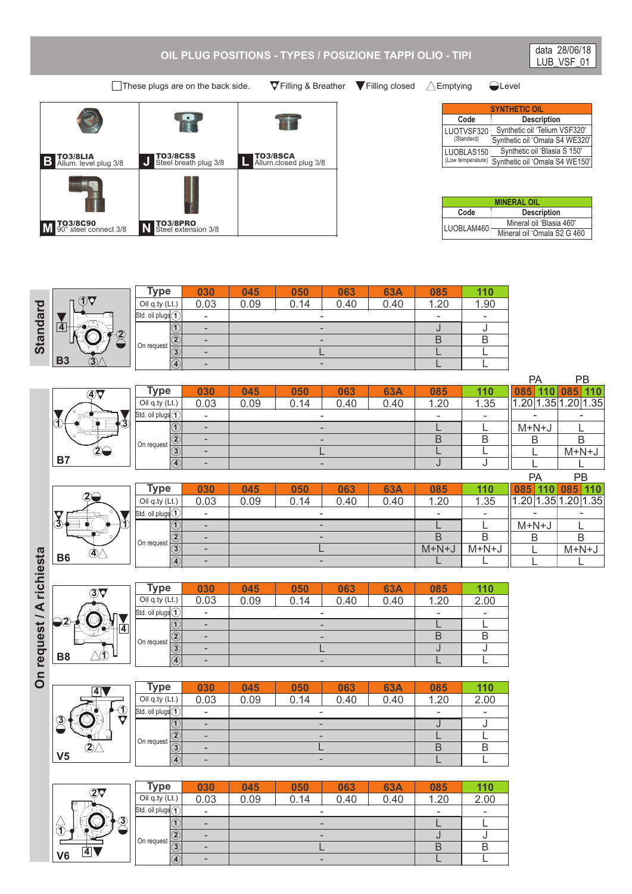## **OIL PLUG POSITIONS - TYPES / POSIZIONE TAPPI OLIO - TIPI**

These plugs are on the back side.  $\forall$  Filling & Breather  $\forall$  Filling closed  $\triangle$  Emptying  $\triangle$  Level

TO3/8CSS Steel breath plug 3/8

 $\mathbf{P}$ 

**B Allum. level plug 3/8 J CO3/8CSS L CO3/8CSS L** 

TO3/8SCA Allum.closed plug 3/8

**63A**

**085**

|                   | <b>SYNTHETIC OIL</b>           |  |  |  |  |  |  |
|-------------------|--------------------------------|--|--|--|--|--|--|
| Code              | <b>Description</b>             |  |  |  |  |  |  |
| LUOTVSF320        | Synthetic oil 'Telium VSF320'  |  |  |  |  |  |  |
| (Standard)        | Synthetic oil 'Omala S4 WE320' |  |  |  |  |  |  |
| LUOBLAS150        | Synthetic oil 'Blasia S 150'   |  |  |  |  |  |  |
| (Low temperature) | Synthetic oil 'Omala S4 WE150' |  |  |  |  |  |  |

data 28/06/18 LUB\_VSF\_01

| <b>MINERAL OIL</b>         |                             |  |  |  |  |
|----------------------------|-----------------------------|--|--|--|--|
| <b>Description</b><br>Code |                             |  |  |  |  |
| LUOBLAM460                 | Mineral oil 'Blasia 460'    |  |  |  |  |
|                            | Mineral oil 'Omala S2 G 460 |  |  |  |  |

**110**

**Type 030 050 045 063 10 Standard** 0.14 Oil q.ty (Lt.) 0.03 0.09 **1** Std. oil plugs - - **4 1**

TO3/8PRO Steel extension 3/8

- - - - 0.40 0.40 1.20 - J B L L 1.90 - J B L L **2 3 4 2** On request - - L -

|                                    |                               |                                |      |      |      |            |      |      | PA                         | <b>PB</b>          |
|------------------------------------|-------------------------------|--------------------------------|------|------|------|------------|------|------|----------------------------|--------------------|
| $\overline{4}$                     | Type                          | 030                            | 045  | 050  | 063  | <b>63A</b> | 085  | 110  | 085<br>10 <sup>7</sup>     | 085                |
|                                    | Oil q.ty (Lt.)                | 0.03                           | 0.09 | 0.14 | 0.40 | 0.40       | 1.20 | 1.35 | .20 <sup>1</sup><br>1.35 1 | ാറ<br>1.35<br>ں ے. |
|                                    | Std. oil plugs <sup>(1)</sup> | $\overline{\phantom{0}}$       |      |      |      |            | ٠    |      | -                          |                    |
| $\bf \hat{3}$<br>$   \Phi \rangle$ |                               |                                |      |      |      |            |      |      | $M+N+J$                    |                    |
|                                    | On request                    | ∣∖€                            |      |      | -    |            | B    |      |                            |                    |
| $\infty$                           |                               | তি<br>$\overline{\phantom{a}}$ |      |      |      |            |      |      |                            | $M+N+J$            |
| <b>B7</b>                          |                               | $\overline{4}$<br>-            |      |      | -    |            |      |      |                            |                    |





**B3**

**3**

TO3/8C90 90° steel connect 3/8 **M N**

|                            | <b>Type</b>                               | 030                      | 045  | 050  | 063                          | <b>63A</b> | 085                      | 110  |
|----------------------------|-------------------------------------------|--------------------------|------|------|------------------------------|------------|--------------------------|------|
|                            | Oil q.ty (Lt.)                            | 0.03                     | 0.09 | 0.14 | 0.40                         | 0.40       | 1.20                     | 2.00 |
| JЬ                         | $\left \mathsf{Std.~oil~plugs(1)}\right $ | $\overline{\phantom{a}}$ |      |      | $\overline{\phantom{a}}$     |            | $\overline{\phantom{a}}$ |      |
| $-$<br>$\overline{4}$<br>∙ | 1)                                        | -                        |      |      | $\overline{\phantom{0}}$     |            |                          |      |
|                            | 2  <br>On request                         | -                        |      |      | $\qquad \qquad \blacksquare$ |            |                          |      |
| ー                          | $\circledS$                               | $\qquad \qquad$          |      |      |                              |            |                          |      |
| $\mathbf{\hat{D}}$         | $\circledast$                             | $\overline{\phantom{0}}$ |      |      | -                            |            |                          |      |

| ō | R8 |
|---|----|
|   |    |
|   |    |
|   |    |

**V5**

**3**

|                           | <b>Type</b>              | 030                                        | 045  | 050                      | 063  | <b>63A</b> | 085                      | 110  |
|---------------------------|--------------------------|--------------------------------------------|------|--------------------------|------|------------|--------------------------|------|
|                           | Oil q.ty (Lt.)           | 0.03                                       | 0.09 | 0.14                     | 0.40 | 0.40       | 1.20                     | 2.00 |
| $\circled{1}$             | Std. oil plugs $(1)^{1}$ | $\overline{\phantom{0}}$                   |      |                          |      |            | $\overline{\phantom{a}}$ |      |
| O                         |                          | $\overline{\phantom{0}}$                   |      | $\overline{\phantom{0}}$ |      |            |                          |      |
|                           | 2<br>On request          | $\qquad \qquad \blacksquare$               |      | $\overline{\phantom{0}}$ |      |            |                          |      |
| $\overline{\mathbf{2}}$ / | $\overline{G}$           | $\qquad \qquad \blacksquare$               |      |                          |      |            |                          |      |
|                           |                          | $\circledcirc$<br>$\overline{\phantom{0}}$ |      |                          |      |            |                          |      |

| $\overline{\mathcal{2}}\overline{\mathsf{y}}$ | <b>Type</b>                            | 030                      | 045  | 050                          | 063  | <b>63A</b> | 085                      | 110                      |
|-----------------------------------------------|----------------------------------------|--------------------------|------|------------------------------|------|------------|--------------------------|--------------------------|
|                                               | Oil q.ty (Lt.)                         | 0.03                     | 0.09 | 0.14                         | 0.40 | 0.40       | .20<br>$\overline{ }$    | 2.00                     |
|                                               | Std. oil plugs <sup>(1)</sup>          | $\overline{\phantom{a}}$ |      | -                            |      |            | $\overline{\phantom{0}}$ | $\overline{\phantom{a}}$ |
| ຈ<br>C.<br>я                                  |                                        | $\overline{\phantom{a}}$ |      | $\qquad \qquad \blacksquare$ |      |            |                          |                          |
| ◡                                             | $^\copyright$                          | $\qquad \qquad$          |      | $\qquad \qquad \blacksquare$ |      |            |                          |                          |
| 41                                            | On request<br>$\overline{\circled{3}}$ | $\qquad \qquad$          |      |                              |      |            | B                        | Β                        |
| V <sub>6</sub>                                | $\overline{\textcircled{\texttt{1}}}$  | $\overline{\phantom{a}}$ |      | $\overline{\phantom{0}}$     |      |            |                          |                          |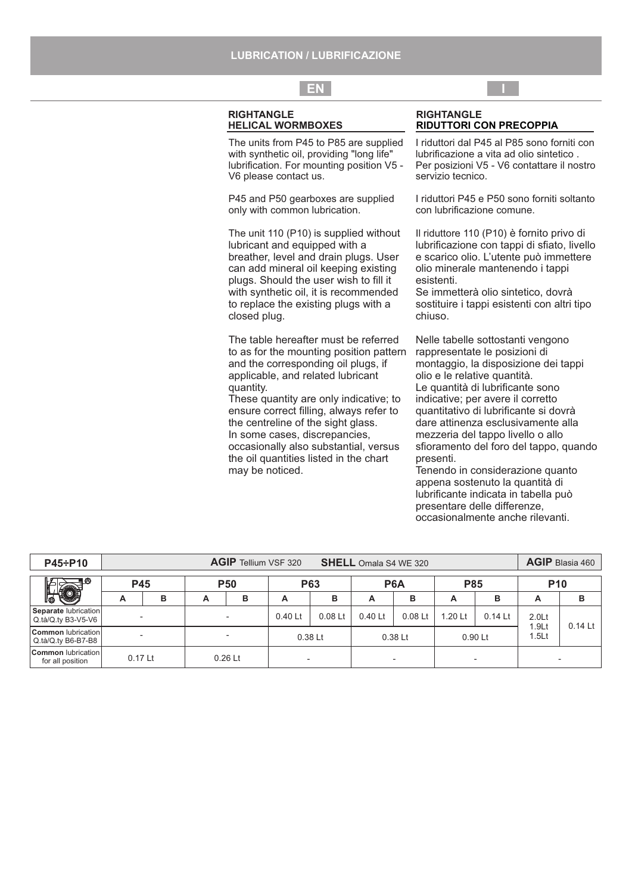## **LUBRICATION / LUBRIFICAZIONE**

## **EN I**

#### **RIGHTANGLE HELICAL WORMBOXES**

The units from P45 to P85 are supplied with synthetic oil, providing "long life" lubrification. For mounting position V5 - V6 please contact us.

P45 and P50 gearboxes are supplied only with common lubrication.

The unit 110 (P10) is supplied without lubricant and equipped with a breather, level and drain plugs. User can add mineral oil keeping existing plugs. Should the user wish to fill it with synthetic oil, it is recommended to replace the existing plugs with a closed plug.

The table hereafter must be referred to as for the mounting position pattern and the corresponding oil plugs, if applicable, and related lubricant quantity.

These quantity are only indicative; to ensure correct filling, always refer to the centreline of the sight glass. In some cases, discrepancies, occasionally also substantial, versus the oil quantities listed in the chart may be noticed.

#### **RIGHTANGLE RIDUTTORI CON PRECOPPIA**

I riduttori dal P45 al P85 sono forniti con lubrificazione a vita ad olio sintetico . Per posizioni V5 - V6 contattare il nostro servizio tecnico.

I riduttori P45 e P50 sono forniti soltanto con lubrificazione comune.

Il riduttore 110 (P10) è fornito privo di lubrificazione con tappi di sfiato, livello e scarico olio. L'utente può immettere olio minerale mantenendo i tappi esistenti.

Se immetterà olio sintetico, dovrà sostituire i tappi esistenti con altri tipo chiuso.

Nelle tabelle sottostanti vengono rappresentate le posizioni di montaggio, la disposizione dei tappi olio e le relative quantità. Le quantità di lubrificante sono indicative; per avere il corretto quantitativo di lubrificante si dovrà dare attinenza esclusivamente alla mezzeria del tappo livello o allo sfioramento del foro del tappo, quando presenti.

Tenendo in considerazione quanto appena sostenuto la quantità di lubrificante indicata in tabella può presentare delle differenze, occasionalmente anche rilevanti.

| P45÷P10                                         |            | <b>AGIP</b> Tellium VSF 320<br><b>SHELL</b> Omala S4 WE 320 |   |                          |         |                          |                          |           |                          | AGIP Blasia 460 |                   |                    |                                        |                  |            |  |            |  |
|-------------------------------------------------|------------|-------------------------------------------------------------|---|--------------------------|---------|--------------------------|--------------------------|-----------|--------------------------|-----------------|-------------------|--------------------|----------------------------------------|------------------|------------|--|------------|--|
| ۱A                                              | <b>P45</b> |                                                             |   |                          |         |                          |                          |           |                          | <b>P50</b>      | <b>P63</b>        |                    |                                        | P <sub>6</sub> A | <b>P85</b> |  | <b>P10</b> |  |
| llo≾                                            | А          | в                                                           | A | в                        | А       | в                        | А                        | в         | A                        | в               | A                 | в                  |                                        |                  |            |  |            |  |
| Separate lubrication<br>Q.tà/Q.ty B3-V5-V6      | -          |                                                             |   | $\overline{\phantom{a}}$ | 0.40 Lt | $0.08$ Lt                | 0.40 Lt                  | $0.08$ Lt | $1.20$ Lt                | $0.14$ Lt       | 2.0 <sub>Lt</sub> | $0.14$ Lt $\vert$  |                                        |                  |            |  |            |  |
| <b>Common</b> lubrication<br>Q.tà/Q.ty B6-B7-B8 |            |                                                             |   |                          |         |                          |                          | $0.38$ Lt |                          | $0.38$ Lt       |                   | 0.90 <sub>kt</sub> | 1.9 <sub>Lt</sub><br>1.5 <sub>Lt</sub> |                  |            |  |            |  |
| <b>Common</b> lubrication<br>for all position   | $0.17$ Lt  |                                                             |   | $0.26$ Lt                |         | $\overline{\phantom{a}}$ | $\overline{\phantom{0}}$ |           | $\overline{\phantom{0}}$ |                 |                   | ۰.                 |                                        |                  |            |  |            |  |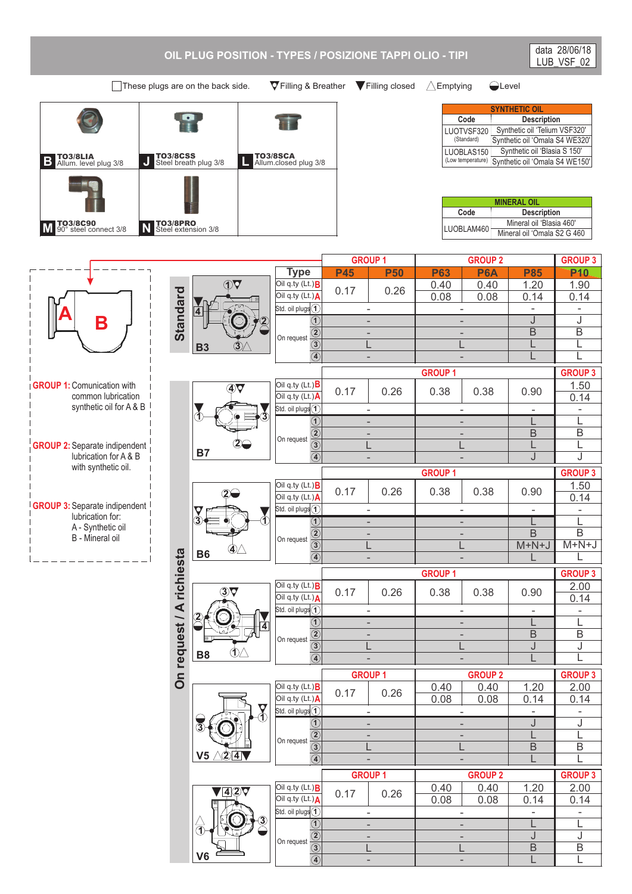

These plugs are on the back side.  $\nabla$  Filling & Breather  $\nabla$  Filling closed  $\triangle$  Emptying  $\triangle$  Level

 $\frac{1}{2}$ 

TO3/8PRO Steel extension 3/8

**B Allum. level plug 3/8 J CO3/8CSS L CO3/8LIA** 

TO3/8LIA Allum. level plug 3/8

TO3/8C90 90° steel connect 3/8 **M N**

TO3/8SCA Allum.closed plug 3/8

**The Second State** 

| <b>SYNTHETIC OIL</b> |                                |  |  |  |  |  |
|----------------------|--------------------------------|--|--|--|--|--|
| Code                 | <b>Description</b>             |  |  |  |  |  |
| LUOTVSF320           | Synthetic oil 'Telium VSF320'  |  |  |  |  |  |
| (Standard)           | Synthetic oil 'Omala S4 WE320' |  |  |  |  |  |
| LUOBLAS150           | Synthetic oil 'Blasia S 150'   |  |  |  |  |  |
| (Low temperature)    | Synthetic oil 'Omala S4 WE150' |  |  |  |  |  |

| <b>MINERAL OIL</b>         |                             |  |  |  |  |
|----------------------------|-----------------------------|--|--|--|--|
| Code<br><b>Description</b> |                             |  |  |  |  |
|                            | Mineral oil 'Blasia 460'    |  |  |  |  |
| ILUOBLAM460                | Mineral oil 'Omala S2 G 460 |  |  |  |  |

- L J B L

- - - L -

- L J B L

|                                       |                          |                                             |                                                                           | <b>GROUP 1</b>           |                          |                          | <b>GROUP 2</b>           |                          | <b>GROUP 3</b>           |
|---------------------------------------|--------------------------|---------------------------------------------|---------------------------------------------------------------------------|--------------------------|--------------------------|--------------------------|--------------------------|--------------------------|--------------------------|
|                                       |                          |                                             | <b>Type</b>                                                               | <b>P45</b>               | <b>P50</b>               | <b>P63</b>               | P <sub>6</sub> A         | <b>P85</b>               | P <sub>10</sub>          |
|                                       |                          | $\overline{\text{O}}\overline{\text{V}}$    | Oil q.ty (Lt.) <b>B</b>                                                   | 0.17                     |                          | 0.40                     | 0.40                     | 1.20                     | 1.90                     |
|                                       |                          |                                             | Oil q.ty (Lt.)A                                                           |                          | 0.26                     | 0.08                     | 0.08                     | 0.14                     | 0.14                     |
|                                       |                          | 4                                           | Std. oil plugs $\bigcirc$                                                 |                          | $\overline{\phantom{0}}$ |                          | $\overline{\phantom{m}}$ |                          | $\overline{\phantom{a}}$ |
| Β                                     |                          |                                             | $\overline{\textcircled{\textcirc}}}$                                     |                          | $\overline{a}$           | $\overline{\phantom{a}}$ |                          | J                        | $\overline{\mathsf{J}}$  |
|                                       | <b>Standard</b>          |                                             | $\frac{\textcircled{\textit{i}}}{\textcircled{\textit{i}}}$<br>On request | L,                       |                          |                          |                          | $\overline{B}$           | $\overline{B}$           |
|                                       |                          | 3)<br><b>B3</b>                             |                                                                           |                          |                          |                          |                          |                          | L                        |
|                                       |                          |                                             | $\overline{\circledast}$                                                  | L,                       |                          |                          |                          |                          | $\overline{L}$           |
|                                       |                          |                                             |                                                                           |                          |                          | <b>GROUP 1</b>           |                          |                          | <b>GROUP 3</b>           |
| <b>GROUP 1: Comunication with</b>     |                          | $\overline{4}$                              | Oil q.ty (Lt.) $\bm{B}$                                                   | 0.17                     | 0.26                     | 0.38                     |                          | 0.90                     | 1.50                     |
| common lubrication                    |                          |                                             | Oil q.ty (Lt.)A                                                           |                          |                          |                          | 0.38                     |                          | 0.14                     |
| synthetic oil for A & B               |                          | Ã.                                          | Std. oil plugs $\textcircled{\scriptsize{1}}$                             | $\overline{\phantom{a}}$ |                          |                          | $\overline{\phantom{a}}$ | $\overline{\phantom{a}}$ | $\overline{\phantom{a}}$ |
|                                       |                          |                                             | $\overline{\textcircled{\textcirc}}}$                                     | L,                       |                          | L.                       |                          |                          | L                        |
|                                       |                          |                                             | On request                                                                |                          | $\overline{a}$           | ÷,                       |                          | $\mathsf B$              | $\overline{B}$           |
| <b>GROUP 2:</b> Separate indipendent  |                          |                                             | $\frac{\overline{2}}{\frac{3}{4}}$                                        | L                        |                          |                          |                          | L                        | L                        |
| lubrication for A & B                 |                          | <b>B7</b>                                   |                                                                           |                          | $\overline{\phantom{0}}$ | ÷,                       |                          | J                        | J                        |
| with synthetic oil.                   |                          |                                             |                                                                           |                          |                          | <b>GROUP 1</b>           |                          |                          | <b>GROUP 3</b>           |
|                                       |                          |                                             | Oil q.ty $(Lt.)$ <b>B</b>                                                 | 0.17                     | 0.26                     | 0.38                     | 0.38                     | 0.90                     | 1.50                     |
|                                       |                          | $2\Theta$                                   | Oil q.ty (Lt.)A                                                           |                          |                          |                          |                          |                          | 0.14                     |
| <b>GROUP 3: Separate indipendent</b>  |                          |                                             | Std. oil plugs $\overline{1}$                                             | $\overline{\phantom{a}}$ |                          |                          | $\overline{\phantom{m}}$ |                          | $\overline{\phantom{a}}$ |
| lubrication for:<br>A - Synthetic oil |                          |                                             | $\overline{\textcircled{\texttt{1}}}$                                     |                          |                          |                          |                          |                          | L                        |
| B - Mineral oil                       |                          |                                             | $\frac{\textcircled{\textit{i}}}{\textcircled{\textit{i}}}$<br>On request | L,                       |                          | ٠                        |                          | $\overline{B}$           | $\overline{B}$           |
|                                       |                          | $\bigcircled{4}\triangle$<br><b>B6</b>      |                                                                           |                          |                          |                          |                          | $M+N+J$                  | $M+N+J$                  |
|                                       |                          |                                             | $\overline{a}$                                                            |                          | $\overline{\phantom{0}}$ |                          | $\overline{\phantom{a}}$ |                          |                          |
|                                       |                          |                                             |                                                                           |                          |                          | <b>GROUP1</b>            |                          |                          | <b>GROUP 3</b>           |
|                                       |                          | $\circledcirc$                              | Oil q.ty $(Lt.)$ <b>B</b>                                                 | 0.17                     | 0.26                     | 0.38                     | 0.38                     | 0.90                     | 2.00                     |
|                                       |                          |                                             | Oil q.ty (Lt.)A                                                           |                          |                          |                          |                          |                          | 0.14                     |
|                                       |                          |                                             | Std. oil plugs $\textcircled{\textsf{1}}$                                 | $\overline{a}$           |                          |                          | $\overline{a}$           | $\blacksquare$           | $\overline{\phantom{0}}$ |
|                                       |                          |                                             | (1)                                                                       |                          | $\overline{a}$           |                          | $\overline{\phantom{a}}$ | L                        | L                        |
|                                       |                          |                                             | $\frac{\boxed{2}}{3}$<br>On request                                       |                          |                          |                          |                          | $\overline{B}$           | $\overline{B}$           |
|                                       |                          | $\circled{1}$<br><b>B8</b>                  |                                                                           | L                        |                          | L                        |                          | J                        | J                        |
|                                       |                          |                                             | $\overline{a}$                                                            | L,                       |                          |                          | $\overline{a}$           |                          | L                        |
|                                       |                          |                                             |                                                                           | <b>GROUP 1</b>           |                          |                          | <b>GROUP 2</b>           |                          | <b>GROUP 3</b>           |
|                                       |                          |                                             |                                                                           |                          |                          |                          |                          |                          |                          |
|                                       | On request / A richiesta |                                             | Oil q.ty (Lt.) <sup>B</sup>                                               |                          |                          | 0.40                     | 0.40                     | 1.20                     | 2.00                     |
|                                       |                          |                                             | Oil q.ty (Lt.)A                                                           | 0.17                     | 0.26                     | 0.08                     | 0.08                     | 0.14                     | 0.14                     |
|                                       |                          |                                             | Std. oil plugs $\overline{1}$                                             | $\overline{\phantom{a}}$ |                          |                          | $\overline{a}$           |                          | $\overline{\phantom{0}}$ |
|                                       |                          | $\overline{\mathfrak{F}}$<br>$\overline{3}$ | $\overline{\textcircled{\textcirc}}}$                                     | L,                       |                          |                          |                          | J                        | J                        |
|                                       |                          |                                             | On request                                                                |                          | $\qquad \qquad -$        | $\overline{\phantom{0}}$ |                          | L                        | L                        |
|                                       |                          |                                             |                                                                           | L                        |                          |                          |                          | $\overline{B}$           | $\overline{B}$           |
|                                       |                          | <b>124</b><br>V <sub>5</sub>                | $\frac{\circledR}{\circledR}$                                             |                          | $\overline{a}$           |                          | $\overline{a}$           | L                        | L                        |
|                                       |                          |                                             |                                                                           | <b>GROUP 1</b>           |                          |                          | <b>GROUP 2</b>           |                          | <b>GROUP 3</b>           |
|                                       |                          | $\sqrt{4\sqrt{2}}$                          | Oil q.ty (Lt.) <sup>B</sup><br>Oil q.ty $(Lt.)$                           | 0.17                     | 0.26                     | 0.40<br>0.08             | 0.40                     | 1.20                     | 2.00<br>0.14             |

**V6**

**1**

**3**

**1**

- - - L -

**1** Std. oil plugs

On request

**2 3 4**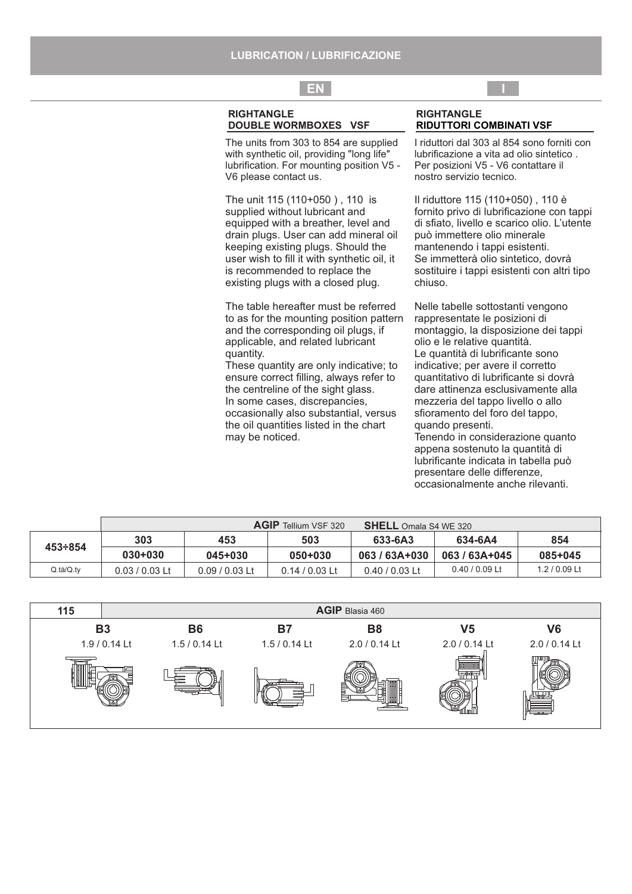# **EN I**

### **RIGHTANGLE DOUBLE WORMBOXES VSF**

The units from 303 to 854 are supplied with synthetic oil, providing "long life" lubrification. For mounting position V5 - V6 please contact us.

The unit 115 (110+050 ) , 110 is supplied without lubricant and equipped with a breather, level and drain plugs. User can add mineral oil keeping existing plugs. Should the user wish to fill it with synthetic oil, it is recommended to replace the existing plugs with a closed plug.

The table hereafter must be referred to as for the mounting position pattern and the corresponding oil plugs, if applicable, and related lubricant quantity.

These quantity are only indicative; to ensure correct filling, always refer to the centreline of the sight glass. In some cases, discrepancies, occasionally also substantial, versus the oil quantities listed in the chart may be noticed.

#### **RIGHTANGLE RIDUTTORI COMBINATI VSF**

I riduttori dal 303 al 854 sono forniti con lubrificazione a vita ad olio sintetico . Per posizioni V5 - V6 contattare il nostro servizio tecnico.

Il riduttore 115 (110+050) , 110 è fornito privo di lubrificazione con tappi di sfiato, livello e scarico olio. L'utente può immettere olio minerale mantenendo i tappi esistenti. Se immetterà olio sintetico, dovrà sostituire i tappi esistenti con altri tipo chiuso.

Nelle tabelle sottostanti vengono rappresentate le posizioni di montaggio, la disposizione dei tappi olio e le relative quantità. Le quantità di lubrificante sono indicative; per avere il corretto quantitativo di lubrificante si dovrà dare attinenza esclusivamente alla mezzeria del tappo livello o allo sfioramento del foro del tappo, quando presenti. Tenendo in considerazione quanto

appena sostenuto la quantità di lubrificante indicata in tabella può presentare delle differenze, occasionalmente anche rilevanti.

⊮≡≡

|                | <b>AGIP</b> Tellium VSF 320<br>SHELL Omala S4 WE 320 |                |                |                  |                  |               |  |
|----------------|------------------------------------------------------|----------------|----------------|------------------|------------------|---------------|--|
|                | 303                                                  | 453            | 503            | 633-6A3          | 634-6A4          | 854           |  |
| $453 \div 854$ | $030 + 030$                                          | $045 + 030$    | 050+030        | 063/63A+030      | 063/63A+045      | 085+045       |  |
| Q.ta/Q.ty      | $0.03/0.03$ Lt                                       | $0.09/0.03$ Lt | $0.14/0.03$ Lt | $0.40 / 0.03$ Lt | $0.40 / 0.09$ Lt | $1.2/0.09$ Lt |  |

| 115 |               |               |                | AGIP Blasia 460 |               |                |
|-----|---------------|---------------|----------------|-----------------|---------------|----------------|
|     | <b>B3</b>     | <b>B6</b>     | B <sub>7</sub> | <b>B8</b>       | V5            | V <sub>6</sub> |
|     | 1.9 / 0.14 Lt | $1.5/0.14$ Lt | $1.5/0.14$ Lt  | 2.0 / 0.14 Lt   | 2.0 / 0.14 Lt | 2.0 / 0.14 Lt  |
|     |               |               |                |                 | ---           | --             |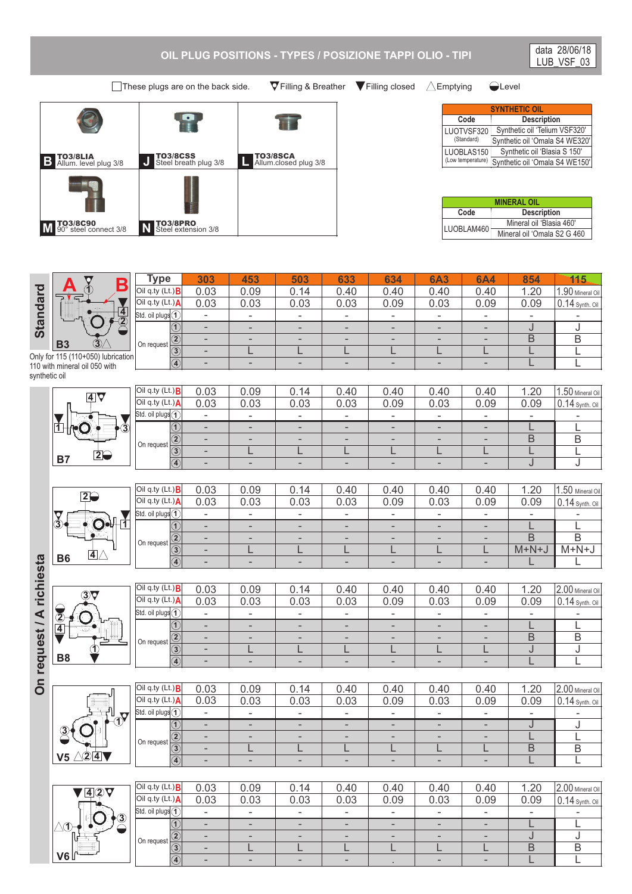## **OIL PLUG POSITIONS - TYPES / POSIZIONE TAPPI OLIO - TIPI**

These plugs are on the back side.  $\nabla$  Filling & Breather  $\nabla$  Filling closed  $\wedge$  Emptying  $\bigcirc$  Level

| TO3/8LIA<br>$\overline{B}$<br>Allum. level plug 3/8 | TO3/8CSS<br>Steel breath plug 3/8<br>J | <b>TO3/8SCA</b><br>Allum.closed plug 3/8 |
|-----------------------------------------------------|----------------------------------------|------------------------------------------|
|                                                     |                                        |                                          |
| TO3/8C90<br>90° steel connect 3/8<br><b>N</b>       | TO3/8PRO<br>Steel extension 3/8        |                                          |

**Type 303**

**1** Std. oil plugs

Oil q.ty (Lt.) **A**

0.03 0.03

> - -

**3 4** L - L -

L -

L .

L -

L -

**453** 0.09 0.03

**503** 0.14 0.03

**633** 0.40 0.03

**634** 0.40 0.09

**6A3** 0.40 0.03

**Description** Synthetic oil 'Telium VSF320' Synthetic oil 'Omala S4 WE320' Synthetic oil 'Blasia S 150' Synthetic oil 'Omala S4 WE150' **Code SYNTHETIC OIL** LUOTVSF320 (Standard) LUOBLAS150 (Low temperature)

| <b>MINERAL OIL</b>         |                             |  |  |  |  |
|----------------------------|-----------------------------|--|--|--|--|
| Code<br><b>Description</b> |                             |  |  |  |  |
|                            | Mineral oil 'Blasia 460'    |  |  |  |  |
| ILUOBLAM460                | Mineral oil 'Omala S2 G 460 |  |  |  |  |

**6A4** 0.40 0.09

**854** 1.20 0.09

> B L

B L

**115** 1.90 Mineral Oil 0.14 Synth. Oil

data 28/06/18 LUB\_VSF\_03



**B7**

**1**

synthetic oil

**B6**

**3**

**B8**

**3**

**2 4**

**V6**

**1**

- - - - - - - - - J - - - - - - - J **1** B - - - - - B **2** - - On request L L L L L L L **3** - L Only for 115 (110+050) lubrication - - - - - L L **4** - - 110 with mineral oil 050 with 0.03 0.09 0.14 0.40 0.40 0.40 1.20 1.50 Mineral Oil 0.40 Oil q.ty (Lt.) **B 4** 0.03 0.03 0.03 0.03 0.09 0.03 0.09 0.09 0.14 Synth. Oil Oil q.ty (Lt.) **A** - **1** Std. oil plugs - - - - - - - - - - - - - - -  $\overline{\mathsf{L}}$  $\mathbf{L}$ **3 1** B  $\overline{B}$ - - - - - - - **2** On request L L L L L  $\overline{L}$ L  $\overline{\mathsf{L}}$ - **2 3** J J - - - - - - - **4** 0.03 0.09 0.40 0.40 0.40 0.40 1.20 1.50 Mineral Oil Oil q.ty (Lt.) **B** 0.14 **2** 0.03 0.03 0.03 0.03 0.09 0.03 0.09 0.09 0.14 Synth. Oil Oil q.ty (Lt.) **A** - - - - - - - - - **1** Std. oil plugs **1**  $\mathbf{O}$ L - - - - - - - L **1**  $\bullet$ B B - - - - - - - **2** On request L L L L L L M+N+J M+N+J - **3**  $\overline{4}$  $\mathbf{L}$ L - - - - - - - **4**  $0.14$ 1.20 0.03 0.09  $0.40$  $0.40$  $0.40$  $0.40$ 2.00 Mineral Oil Oil q.ty (Lt.) **B 3** Oil q.ty (Lt.) **A** 0.03 0.03 0.03 0.03 0.09 0.03 0.09 0.09 0.14 Synth. Oil **1** Std. oil plugs - - - - - - - - -  $\mathbf{L}$ - - - - - - - L **1** B  $\overline{\mathsf{B}}$ - - - - - - - **2** On request **1** L L L L L J J - L **3** - - - - - - - L L **4** 0.03 0.09 0.14 0.40 0.40 0.40 0.40 1.20 2.00 Mineral Oil Oil q.ty (Lt.) **B** 0.14 Synth. Oil 0.03 0.03 0.03 0.03 0.09 0.03 0.09 0.09 Oil q.ty (Lt.) **A 1** Std. oil plugs - - - - - - - - - **1** - - - - - - -  $\overline{\mathsf{J}}$ J **1** - - - - - - - L L **2** On request B  $\overline{B}$ - L L L L L L **3 V5 2 4** - - - - L L - - - **4** 1.20 2.00 Mineral Oil Oil q.ty (Lt.) **B** 0.03 0.09 0.14 0.40 0.40 0.40 0.40 **4 2** 0.03 0.03 0.09 0.03 0.09 0.09 Oil q.ty (Lt.) **A** 0.03 0.03 0.14 Synth. Oil **1** Std. oil plugs - - - - - - - - - **3** L - - - - - - - L **1** - - - - - - - J J **2** On request

On request / A richiesta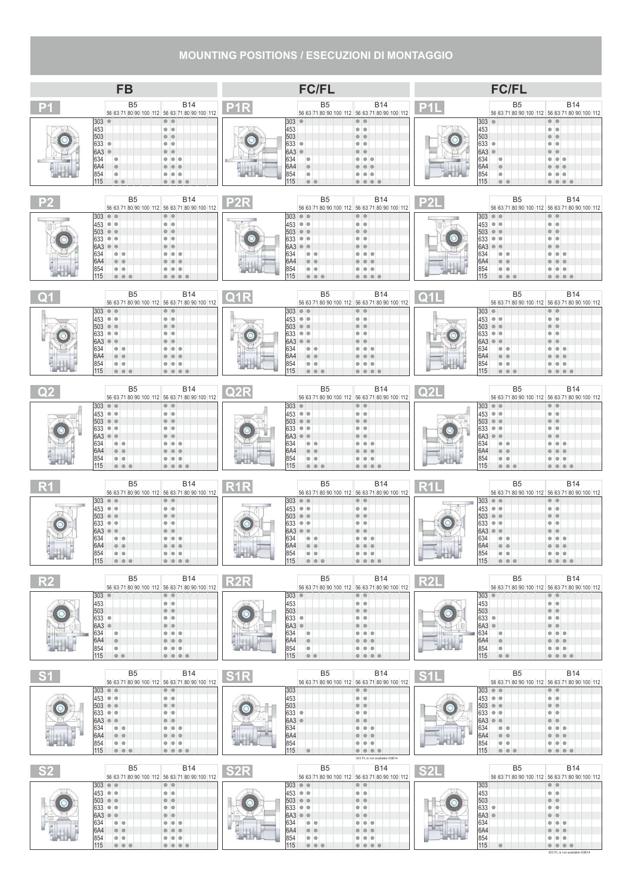# **MOUNTING POSITIONS / ESECUZIONI DI MONTAGGIO**

|                          | <b>FB</b>                                                                                                                                                                                                                                                             |                                                                                                                                                                                                                                                                           |             | <b>FC/FL</b>                                                                                                                                                                                                                                                                               |                                                                                                                                                                     |             | <b>FC/FL</b>                                                                                                                                                                                                                        |                                                                                                                                                                                                                                                                                         |
|--------------------------|-----------------------------------------------------------------------------------------------------------------------------------------------------------------------------------------------------------------------------------------------------------------------|---------------------------------------------------------------------------------------------------------------------------------------------------------------------------------------------------------------------------------------------------------------------------|-------------|--------------------------------------------------------------------------------------------------------------------------------------------------------------------------------------------------------------------------------------------------------------------------------------------|---------------------------------------------------------------------------------------------------------------------------------------------------------------------|-------------|-------------------------------------------------------------------------------------------------------------------------------------------------------------------------------------------------------------------------------------|-----------------------------------------------------------------------------------------------------------------------------------------------------------------------------------------------------------------------------------------------------------------------------------------|
| P <sub>1</sub>           | B <sub>5</sub>                                                                                                                                                                                                                                                        | B14<br>56 63 71 80 90 100 112 56 63 71 80 90 100 112                                                                                                                                                                                                                      | <b>P1R</b>  | <b>B5</b>                                                                                                                                                                                                                                                                                  | <b>B14</b><br>56 63 71 80 90 100 112 56 63 71 80 90 100 112                                                                                                         | <b>P1L</b>  | B <sub>5</sub>                                                                                                                                                                                                                      | <b>B14</b><br>56 63 71 80 90 100 112 56 63 71 80 90 100 112                                                                                                                                                                                                                             |
|                          | 303<br>$\bullet$<br>453<br>503<br>633<br>$\bullet$<br>6A3<br>$\bullet$<br>634<br>I O<br>6A4<br>$\blacksquare$<br>854<br>I.<br>115<br>$\bullet$ $\bullet$                                                                                                              | $\bullet\;\bullet$<br>. .<br>.<br>$\bullet\bullet\bullet\bullet$                                                                                                                                                                                                          |             | $303$ $\bullet$<br>453<br>503<br>$633$ $\bullet$<br>6A3<br>634<br>IO.<br>6A4<br>854<br>IO.<br>115<br>$\bullet$ $\bullet$                                                                                                                                                                   | $\bullet$ $\bullet$<br>. .<br>. .<br>œ<br>$\bullet$ $\bullet$                                                                                                       |             | $303$ $\bullet$<br>453<br>503<br>633 ●<br>6A3 ·<br>634<br>IO.<br>6A4<br>854<br>$\bullet$<br>115<br>$\bullet$ $\bullet$                                                                                                              | $\bullet\bullet$<br>o<br>$\bullet\bullet$<br>0000                                                                                                                                                                                                                                       |
|                          | B <sub>5</sub>                                                                                                                                                                                                                                                        | <b>B14</b><br>56 63 71 80 90 100 112 56 63 71 80 90 100 112                                                                                                                                                                                                               |             | <b>B5</b>                                                                                                                                                                                                                                                                                  | <b>B14</b><br>56 63 71 80 90 100 112 56 63 71 80 90 100 112                                                                                                         |             | B <sub>5</sub>                                                                                                                                                                                                                      | <b>B14</b><br>56 63 71 80 90 100 112 56 63 71 80 90 100 112                                                                                                                                                                                                                             |
|                          | 303<br>$\bullet$ $\bullet$<br>$453$ $\bullet$ $\bullet$<br>503<br>$\bullet$ $\bullet$<br>633<br>$\bullet\bullet$<br>6A3<br>. .<br>634<br>$\bullet$ $\bullet$<br>6A4<br>854<br>$\circ$ $\circ$<br>115<br>$\bullet$ $\bullet$                                           | $\bullet$ $\bullet$<br>$\bullet\circ$                                                                                                                                                                                                                                     |             | $303$ $\bullet$ $\bullet$<br>$453$ $\bullet$ $\bullet$<br>503<br>$\bullet$<br>633<br>$\bullet\bullet$<br>6A3<br>i O<br>634<br>$\bullet\bullet$<br>6A4<br>854<br>$\bullet\bullet$<br>115<br>0000                                                                                            | $\bullet$ $\bullet$<br>. .                                                                                                                                          |             | $ 303  \bullet   \bullet$<br> 453   ●   ●  <br>503<br>$\bullet$ $\bullet$<br>633<br>$\bullet\bullet$<br>6A3<br>$\Box$<br>634<br>$\bullet$ $\bullet$<br>6A4<br>854<br>$\bullet$ $\bullet$<br>115<br>.                                | $\bullet$ $\bullet$<br>۰                                                                                                                                                                                                                                                                |
|                          | B <sub>5</sub>                                                                                                                                                                                                                                                        | B14<br>56 63 71 80 90 100 112 56 63 71 80 90 100 112                                                                                                                                                                                                                      | Q1R         | B <sub>5</sub>                                                                                                                                                                                                                                                                             | <b>B14</b><br>56 63 71 80 90 100 112 56 63 71 80 90 100 112                                                                                                         | <u>ດ1I </u> | B <sub>5</sub>                                                                                                                                                                                                                      | <b>B14</b><br>56 63 71 80 90 100 112 56 63 71 80 90 100 112                                                                                                                                                                                                                             |
|                          | 303<br>$\bullet$ $\bullet$<br>453 ● ●<br>503<br>$\bullet$<br>633<br>$\bullet\bullet$<br>6A3<br>$\bullet\bullet$<br>634<br>$\bullet\bullet$<br> 6A4<br>854<br>$\bullet$ $\bullet$<br>115<br>$\bullet\bullet\bullet$                                                    | $\bullet$ $\bullet$<br>. .<br>٠                                                                                                                                                                                                                                           |             | $303$ $\bullet$ $\bullet$<br>$453$ $\bullet$ $\bullet$<br>$\bullet$<br>503<br>633<br>$\bullet\bullet$<br>6A3<br><b>DO</b><br>634<br>$\bullet\bullet$<br> 6A4<br>854<br>$\bullet$ $\bullet$<br>115<br>$\bullet\bullet\bullet$                                                               | $\bullet$ $\bullet$<br>. .<br>$\blacksquare$<br>٠                                                                                                                   |             | $303$ $\bullet$<br>$ 453 $ $\bullet$ $\bullet$<br>503<br>$\bullet$ $\bullet$<br>633<br>$\bullet$ $\bullet$<br>6A3<br>$\blacksquare$<br>634<br>$\bullet\bullet$<br> 6A4<br>854<br>$\bullet\bullet$<br>115<br>$\bullet\bullet\bullet$ | $\bullet\bullet$<br>$\bullet$<br>۰                                                                                                                                                                                                                                                      |
|                          | <b>B5</b>                                                                                                                                                                                                                                                             | <b>B14</b><br>56 63 71 80 90 100 112 56 63 71 80 90 100 112                                                                                                                                                                                                               |             | <b>B5</b>                                                                                                                                                                                                                                                                                  | <b>B14</b><br>56 63 71 80 90 100 112 56 63 71 80 90 100 112                                                                                                         |             | B <sub>5</sub>                                                                                                                                                                                                                      | <b>B14</b><br>56 63 71 80 90 100 112 56 63 71 80 90 100 112                                                                                                                                                                                                                             |
|                          | $303$ $\bullet$ $\bullet$<br>453 ● ●<br>503<br>$\bullet$ $\bullet$<br>633<br>$\bullet\bullet$<br>6A3<br>$\circ$<br>634<br>$\bullet$<br>6A4<br>854<br>$\bullet\bullet$<br>115                                                                                          | $\bullet$ $\bullet$<br>$\bullet$ $\bullet$<br>.                                                                                                                                                                                                                           |             | $303$ $\bullet$<br>$453$ $\bullet$ $\bullet$<br>$\bullet\bullet$<br>503<br>633<br>$\bullet$ $\bullet$<br>6A3<br>634<br>$-$<br>6A4<br>854<br>$\bullet\bullet$<br>115                                                                                                                        | $\bullet$ $\bullet$<br>$\bullet$ $\bullet$<br>. .<br>۱O<br>.                                                                                                        |             | $303$ $\bullet$ $\bullet$<br>453 ● ●<br>503<br>$\bullet$ $\bullet$<br>633<br>$\bullet\bullet$<br>6A3<br>634<br>$\bullet\bullet$<br>6A4<br>854<br>$\bullet\bullet$<br>115<br>$\bullet\bullet\bullet$                                 | $\bullet$ $\bullet$<br>$\bullet$ $\bullet$<br>$\sqrt{2}$<br>$\bullet$<br>0000                                                                                                                                                                                                           |
|                          | B <sub>5</sub>                                                                                                                                                                                                                                                        | <b>B14</b><br>56 63 71 80 90 100 112 56 63 71 80 90 100 112                                                                                                                                                                                                               | <b>R1R</b>  | B <sub>5</sub>                                                                                                                                                                                                                                                                             | <b>B14</b><br>56 63 71 80 90 100 112 56 63 71 80 90 100 112                                                                                                         | R1L         | B <sub>5</sub>                                                                                                                                                                                                                      | <b>B14</b><br>56 63 71 80 90 100 112 56 63 71 80 90 100 112                                                                                                                                                                                                                             |
| ANTELLY MA               | 303<br>00<br>453<br>$\bullet\bullet$<br>503<br>$\bullet$<br>$\qquad \qquad \bullet$<br>633<br>$\bullet\bullet$<br>6A3<br>634<br>$\bullet$<br>6A4<br>854<br>115                                                                                                        | ۰                                                                                                                                                                                                                                                                         |             | $303$ $\bullet$ $\bullet$<br>$453$ $\bullet$ $\bullet$<br>503<br>$\bullet\bullet$<br>633<br>$\bullet\bullet$<br>6A3<br>634<br>$\bullet$<br>6A4<br>854<br>115<br>$\bullet\bullet\bullet$                                                                                                    |                                                                                                                                                                     |             | 303<br>00<br>$\bullet\bullet$<br>453<br>503<br>$\bullet\bullet$<br>633<br>$\bullet$ $\bullet$<br>I6A3<br>634<br>6A4<br>854<br>115                                                                                                   | 00000                                                                                                                                                                                                                                                                                   |
| $\overline{\mathsf{R}2}$ | B <sub>5</sub>                                                                                                                                                                                                                                                        | <b>B14</b><br>56 63 71 80 90 100 112 56 63 71 80 90 100 112                                                                                                                                                                                                               | R2R         | B <sub>5</sub>                                                                                                                                                                                                                                                                             | <b>B14</b><br>56 63 71 80 90 100 112 56 63 71 80 90 100 112                                                                                                         | <b>R2L</b>  | B <sub>5</sub>                                                                                                                                                                                                                      | <b>B14</b><br>56 63 71 80 90 100 112 56 63 71 80 90 100 112                                                                                                                                                                                                                             |
|                          | 303<br>$\bullet$<br>453<br>503<br>633 ●<br>6A3<br>$\bullet$<br>634<br>o<br>6A4<br>$\bullet$<br>854<br>$\bullet$<br>115<br>$\bullet$ $\bullet$                                                                                                                         | $\bullet\;\bullet$<br>$\bullet\;\bullet$<br>$\bullet$<br>$\bullet\;\bullet$<br>.                                                                                                                                                                                          |             | $303$ $\bullet$<br>453<br>503<br>$633$ $\bullet$<br>6A3<br>$\bullet$<br>634<br>IO.<br>6A4<br>$\bullet$<br>854<br>$\bullet$<br>115<br>$\bullet\bullet$                                                                                                                                      | $\bullet\bullet$<br>$\bullet\;\bullet$<br>$\bullet\bullet$<br>$\bullet\;\bullet$<br>.<br>$\begin{array}{c c c c c c} \hline \bullet & \bullet & \bullet\end{array}$ |             | 303 •<br>453<br>503<br>633 ●<br>6A3 ·<br>634<br>I.<br>6A4<br>$\bullet$<br>854<br>$\bullet$<br>115<br>$\bullet\bullet$                                                                                                               | $\bullet$ $\bullet$<br>$\bullet\;\bullet$<br>$\bullet$<br>O<br>$\bullet$<br>$\bullet$<br>$\bullet\bullet$<br>$\bullet$ $\bullet$<br>$\begin{array}{c c c c c c} \hline \multicolumn{3}{c }{\mathbf{0}} & \multicolumn{3}{c }{\mathbf{0}} & \multicolumn{3}{c }{\mathbf{0}} \end{array}$ |
| S <sub>1</sub>           | B <sub>5</sub>                                                                                                                                                                                                                                                        | <b>B14</b><br>56 63 71 80 90 100 112 56 63 71 80 90 100 112                                                                                                                                                                                                               | ${\sf S1R}$ | <b>B5</b>                                                                                                                                                                                                                                                                                  | <b>B14</b><br>56 63 71 80 90 100 112 56 63 71 80 90 100 112                                                                                                         | S1L         | B <sub>5</sub>                                                                                                                                                                                                                      | <b>B14</b><br>56 63 71 80 90 100 112 56 63 71 80 90 100 112                                                                                                                                                                                                                             |
|                          | $303$ $\bullet$ $\bullet$<br>453 • •<br>$503$ $\bullet$ $\bullet$<br>633<br>$\bullet\bullet$<br>6A3<br>$\bullet\bullet$<br>634<br>$\bullet$ $\bullet$<br>6A4<br>$\bullet\bullet$<br>854<br>$\bullet$ $\bullet$<br>115<br>$\bullet\bullet\bullet$                      | $\bullet\bullet$<br>$\bullet$ $\bullet$<br>$\bullet\;\bullet$<br>$\bullet\;\bullet$<br>.<br>$\begin{array}{c c c c c c c c} \hline \multicolumn{1}{c }{\bullet} & \multicolumn{1}{c }{\bullet} & \multicolumn{1}{c }{\bullet} & \multicolumn{1}{c }{\bullet} \end{array}$ |             | 303<br>453<br><b>Contract Contract</b><br>503<br>633 ●<br>$6A3$ $\bullet$<br>634<br>6A4<br>854<br>115<br>$\bullet$                                                                                                                                                                         | $\bullet\bullet$<br>$\bullet\bullet$<br>$\bullet\bullet$<br>$\bullet\;\bullet$<br>. .<br>.<br>.<br>.<br>303 FL is not available 63B14                               |             | $ 303  \bullet   \bullet$<br> 453   ●   ●  <br>$ 503 $ $\bullet$<br>633 ● ●<br>6A3<br>$\bullet$ $\bullet$<br>634<br>$\bullet$ $\bullet$<br>6A4<br>$\bullet\bullet$<br>854<br>$\bullet$ $\bullet$<br>115<br>$\bullet\bullet\bullet$  | $\bullet$ $\bullet$<br>$\bullet\bullet$<br>$\bullet\bullet$<br>$\bullet\bullet$<br>$\bullet$<br>$\bullet\bullet$<br>$  \bullet   \bullet  $<br>$\bullet$                                                                                                                                |
|                          | B <sub>5</sub>                                                                                                                                                                                                                                                        | B14<br>56 63 71 80 90 100 112 56 63 71 80 90 100 112                                                                                                                                                                                                                      | S2R         | B <sub>5</sub>                                                                                                                                                                                                                                                                             | B14<br>56 63 71 80 90 100 112 56 63 71 80 90 100 112                                                                                                                | S2L         | B <sub>5</sub>                                                                                                                                                                                                                      | <b>B14</b><br>56 63 71 80 90 100 112 56 63 71 80 90 100 112                                                                                                                                                                                                                             |
|                          | $303$ $\bullet$ $\bullet$<br>$ 453 $ $\bullet$ $\bullet$<br>503<br>$\bullet$ $\bullet$<br>633<br>$\bullet\bullet$<br>6A3<br>$\bullet\bullet$<br>634<br>$\bullet$ $\bullet$<br>6A4<br>$\bullet\bullet$<br>854<br>$\bullet$ $\bullet$<br>115<br>$\bullet\bullet\bullet$ | $\bullet\bullet$<br>$\bullet\;\bullet$<br>$\bullet$ $\bullet$<br>$\bullet\;\bullet$<br>$\bullet\bullet$<br>$\bullet\bullet\bullet$                                                                                                                                        |             | $303$ $\bullet$ $\bullet$<br>$453$ $\bullet$ $\bullet$<br>$503$ $\bullet$ $\bullet$<br>$633$ $\bullet$ $\bullet$<br>6A3<br>$\circ$<br>634<br>6A4<br>$\bullet$ $\bullet$<br>854<br>$\bullet$ $\bullet$<br>115<br>$\begin{array}{c c c c c c} \hline \bullet & \bullet & \bullet\end{array}$ | $\bullet\bullet$<br>$\bullet\;\bullet$<br>$\bullet$ $\bullet$<br>$\bullet\;\bullet$<br>$\bullet$<br>۱O<br>.                                                         |             | 303<br>453<br>503<br>633 ●<br>6A3 ·<br>634<br>6A4<br>854<br>115<br>$\bullet$                                                                                                                                                        | $\bullet$ $\bullet$<br>$\bullet\bullet$<br>$\bullet$ $\bullet$<br>$\bullet\;\bullet$<br>$\bullet\bullet$<br>.<br>303 FL is not available 63B14                                                                                                                                          |